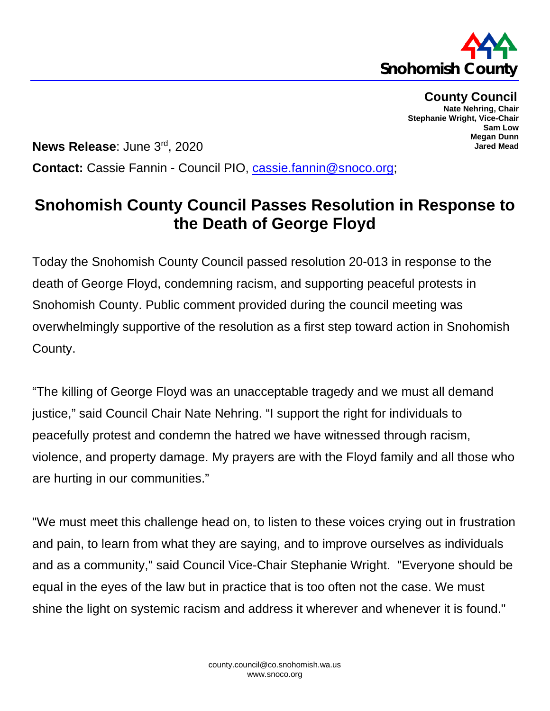

**County Council Nate Nehring, Chair Stephanie Wright, Vice-Chair Sam Low Megan Dunn Jared Mead**

**News Release**: June 3rd, 2020 **Contact:** Cassie Fannin - Council PIO, [cassie.fannin@snoco.org;](mailto:cassie.fannin@snoco.org)

## **Snohomish County Council Passes Resolution in Response to the Death of George Floyd**

Today the Snohomish County Council passed resolution 20-013 in response to the death of George Floyd, condemning racism, and supporting peaceful protests in Snohomish County. Public comment provided during the council meeting was overwhelmingly supportive of the resolution as a first step toward action in Snohomish County.

"The killing of George Floyd was an unacceptable tragedy and we must all demand justice," said Council Chair Nate Nehring. "I support the right for individuals to peacefully protest and condemn the hatred we have witnessed through racism, violence, and property damage. My prayers are with the Floyd family and all those who are hurting in our communities."

"We must meet this challenge head on, to listen to these voices crying out in frustration and pain, to learn from what they are saying, and to improve ourselves as individuals and as a community," said Council Vice-Chair Stephanie Wright. "Everyone should be equal in the eyes of the law but in practice that is too often not the case. We must shine the light on systemic racism and address it wherever and whenever it is found."